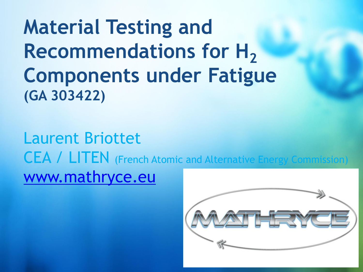**Material Testing and Recommendations for H<sub>2</sub> Components under Fatigue (GA 303422)**

Laurent Briottet CEA / LITEN (French Atomic and Alternative Energy Commission) [www.mathryce.eu](http://www.projectwebsite.eu/)

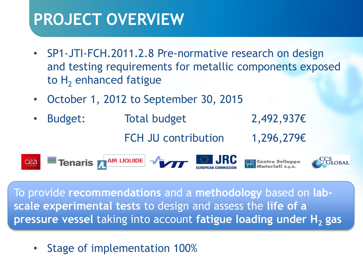### **PROJECT OVERVIEW**

- SP1-JTI-FCH.2011.2.8 Pre-normative research on design and testing requirements for metallic components exposed to  $H<sub>2</sub>$  enhanced fatigue
- October 1, 2012 to September 30, 2015
- Budget: Total budget 2,492,937€ FCH JU contribution 1,296,279€

Tenaris ARR LIQUIDE VALUE SINGLE JRC cea

To provide **recommendations** and a **methodology** based on **labscale experimental tests** to design and assess the **life of a pressure vessel** taking into account **fatigue loading under H<sup>2</sup> gas**

• Stage of implementation 100%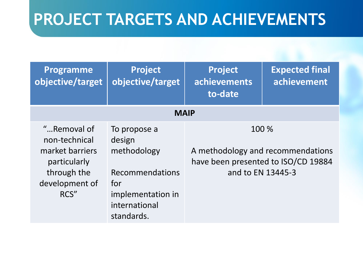| <b>Programme</b><br>objective/target                                                             | <b>Project</b><br>objective/target                              | <b>Project</b><br>achievements<br>to-date | <b>Expected final</b><br>achievement                                                                   |  |  |  |
|--------------------------------------------------------------------------------------------------|-----------------------------------------------------------------|-------------------------------------------|--------------------------------------------------------------------------------------------------------|--|--|--|
| <b>MAIP</b>                                                                                      |                                                                 |                                           |                                                                                                        |  |  |  |
| "Removal of<br>non-technical<br>market barriers<br>particularly<br>through the<br>development of | To propose a<br>design<br>methodology<br>Recommendations<br>for |                                           | 100 %<br>A methodology and recommendations<br>have been presented to ISO/CD 19884<br>and to EN 13445-3 |  |  |  |
| RCS"                                                                                             | implementation in<br>international<br>standards.                |                                           |                                                                                                        |  |  |  |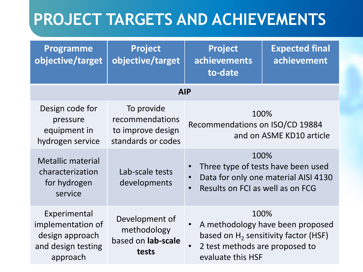| <b>Programme</b><br>objective/target                                                   | <b>Project</b><br>objective/target                                       | <b>Project</b><br>achievements<br>to-date                                                                                                               | <b>Expected final</b><br>achievement |  |  |  |  |
|----------------------------------------------------------------------------------------|--------------------------------------------------------------------------|---------------------------------------------------------------------------------------------------------------------------------------------------------|--------------------------------------|--|--|--|--|
| <b>AIP</b>                                                                             |                                                                          |                                                                                                                                                         |                                      |  |  |  |  |
| Design code for<br>pressure<br>equipment in<br>hydrogen service                        | To provide<br>recommendations<br>to improve design<br>standards or codes | Recommendations on ISO/CD 19884                                                                                                                         | 100%<br>and on ASME KD10 article     |  |  |  |  |
| <b>Metallic material</b><br>characterization<br>for hydrogen<br>service                | Lab-scale tests<br>developments                                          | 100%<br>Three type of tests have been used<br>Data for only one material AISI 4130<br>$\bullet$<br>Results on FCI as well as on FCG<br>$\bullet$        |                                      |  |  |  |  |
| Experimental<br>implementation of<br>design approach<br>and design testing<br>approach | Development of<br>methodology<br>based on lab-scale<br>tests             | 100%<br>A methodology have been proposed<br>based on $H_2$ sensitivity factor (HSF)<br>2 test methods are proposed to<br>$\bullet$<br>evaluate this HSF |                                      |  |  |  |  |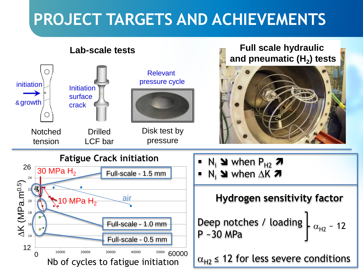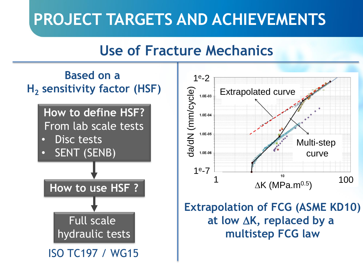### **Use of Fracture Mechanics**

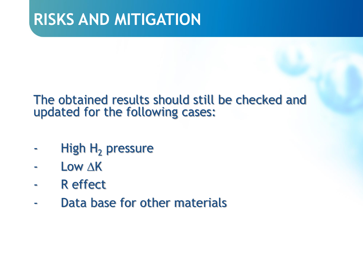#### The obtained results should still be checked and updated for the following cases:

- High  $H_2$  pressure
- Low  $\Delta$ K
- R effect
- Data base for other materials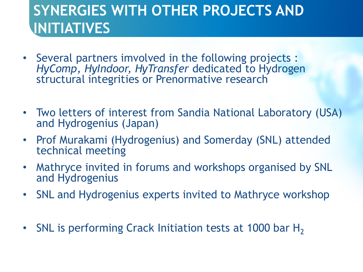### **SYNERGIES WITH OTHER PROJECTS AND INITIATIVES**

- Several partners imvolved in the following projects : *HyComp, HyIndoor, HyTransfer* dedicated to Hydrogen structural integrities or Prenormative research
- Two letters of interest from Sandia National Laboratory (USA) and Hydrogenius (Japan)
- Prof Murakami (Hydrogenius) and Somerday (SNL) attended technical meeting
- Mathryce invited in forums and workshops organised by SNL and Hydrogenius
- SNL and Hydrogenius experts invited to Mathryce workshop
- SNL is performing Crack Initiation tests at 1000 bar  $H_2$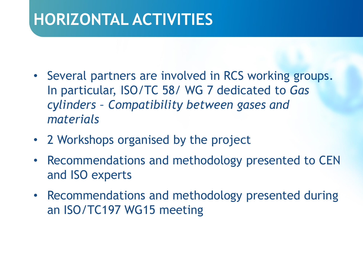### **HORIZONTAL ACTIVITIES**

- Several partners are involved in RCS working groups. In particular, ISO/TC 58/ WG 7 dedicated to *Gas cylinders – Compatibility between gases and materials*
- 2 Workshops organised by the project
- Recommendations and methodology presented to CEN and ISO experts
- Recommendations and methodology presented during an ISO/TC197 WG15 meeting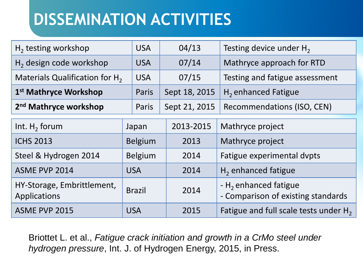# **DISSEMINATION ACTIVITIES**

| $H_2$ testing workshop                     | <b>USA</b> | 04/13         | Testing device under H <sub>2</sub>        |
|--------------------------------------------|------------|---------------|--------------------------------------------|
| $H2$ design code workshop                  | <b>USA</b> | 07/14         | Mathryce approach for RTD                  |
| Materials Qualification for H <sub>2</sub> | <b>USA</b> | 07/15         | Testing and fatigue assessment             |
| 1 <sup>st</sup> Mathryce Workshop          | Paris      | Sept 18, 2015 | $H2$ enhanced Fatigue                      |
| 2 <sup>nd</sup> Mathryce workshop          | Paris      |               | Sept 21, 2015   Recommendations (ISO, CEN) |

| Int. $H_2$ forum                           | Japan          | 2013-2015 | Mathryce project                                               |
|--------------------------------------------|----------------|-----------|----------------------------------------------------------------|
| <b>ICHS 2013</b>                           | <b>Belgium</b> | 2013      | Mathryce project                                               |
| Steel & Hydrogen 2014                      | <b>Belgium</b> | 2014      | Fatigue experimental dvpts                                     |
| ASME PVP 2014                              | <b>USA</b>     | 2014      | $H2$ enhanced fatigue                                          |
| HY-Storage, Embrittlement,<br>Applications | <b>Brazil</b>  | 2014      | - $H_2$ enhanced fatigue<br>- Comparison of existing standards |
| ASME PVP 2015                              | <b>USA</b>     | 2015      | Fatigue and full scale tests under $H_2$                       |

Briottet L. et al., *Fatigue crack initiation and growth in a CrMo steel under hydrogen pressure*, Int. J. of Hydrogen Energy, 2015, in Press.